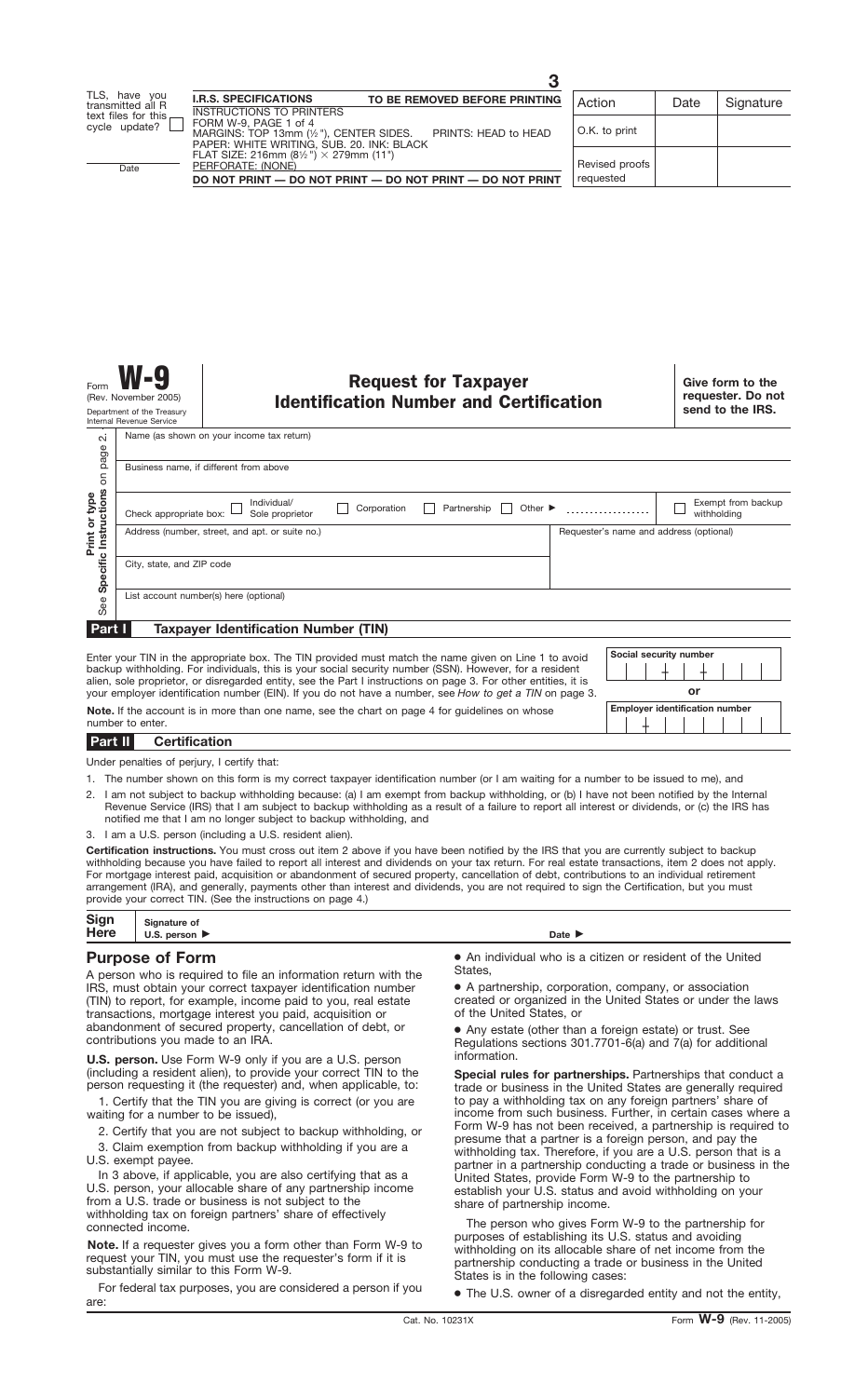Name (as shown on your income tax return)  $\overline{\mathsf{N}}$ See **Specific Instructions** on page 2. page Business name, if different from above δ Instructions Print or type **Print or type**  $\Box$  Individual/<br>Sole proprietor Corporation **Partnership Other Corporation** Exempt from backup Check appropriate box: withholding Address (number, street, and apt. or suite no.) Requester's name and address (optional) Specific City, state, and ZIP code List account number(s) here (optional) See **Part I Taxpayer Identification Number (TIN)**

Enter your TIN in the appropriate box. The TIN provided must match the name given on Line 1 to avoid backup withholding. For individuals, this is your social security number (SSN). However, for a resident alien, sole proprietor, or disregarded entity, see the Part I instructions on page 3. For other entities, it is



number to enter. **Certification Part II**

Under penalties of perjury, I certify that:

1. The number shown on this form is my correct taxpayer identification number (or I am waiting for a number to be issued to me), and

- 2. I am not subject to backup withholding because: (a) I am exempt from backup withholding, or (b) I have not been notified by the Internal Revenue Service (IRS) that I am subject to backup withholding as a result of a failure to report all interest or dividends, or (c) the IRS has notified me that I am no longer subject to backup withholding, and
- 3. I am a U.S. person (including a U.S. resident alien).

**Certification instructions.** You must cross out item 2 above if you have been notified by the IRS that you are currently subject to backup withholding because you have failed to report all interest and dividends on your tax return. For real estate transactions, item 2 does not apply. For mortgage interest paid, acquisition or abandonment of secured property, cancellation of debt, contributions to an individual retirement arrangement (IRA), and generally, payments other than interest and dividends, you are not required to sign the Certification, but you must provide your correct TIN. (See the instructions on page 4.)

| Sign | $\sim$<br>Sianature of |        |
|------|------------------------|--------|
| Here | person<br>U.S.         | Date I |

# **Purpose of Form**

A person who is required to file an information return with the IRS, must obtain your correct taxpayer identification number (TIN) to report, for example, income paid to you, real estate transactions, mortgage interest you paid, acquisition or abandonment of secured property, cancellation of debt, or contributions you made to an IRA.

**U.S. person.** Use Form W-9 only if you are a U.S. person (including a resident alien), to provide your correct TIN to the person requesting it (the requester) and, when applicable, to:

1. Certify that the TIN you are giving is correct (or you are waiting for a number to be issued),

2. Certify that you are not subject to backup withholding, or

3. Claim exemption from backup withholding if you are a U.S. exempt payee.

In 3 above, if applicable, you are also certifying that as a U.S. person, your allocable share of any partnership income from a U.S. trade or business is not subject to the withholding tax on foreign partners' share of effectively connected income.

**Note.** If a requester gives you a form other than Form W-9 to request your TIN, you must use the requester's form if it is substantially similar to this Form W-9.

For federal tax purposes, you are considered a person if you are:

● An individual who is a citizen or resident of the United **States** 

● A partnership, corporation, company, or association created or organized in the United States or under the laws of the United States, or

● Any estate (other than a foreign estate) or trust. See Regulations sections 301.7701-6(a) and 7(a) for additional information.

**Special rules for partnerships.** Partnerships that conduct a trade or business in the United States are generally required to pay a withholding tax on any foreign partners' share of income from such business. Further, in certain cases where a Form W-9 has not been received, a partnership is required to presume that a partner is a foreign person, and pay the withholding tax. Therefore, if you are a U.S. person that is a partner in a partnership conducting a trade or business in the United States, provide Form W-9 to the partnership to establish your U.S. status and avoid withholding on your share of partnership income.

The person who gives Form W-9 to the partnership for purposes of establishing its U.S. status and avoiding withholding on its allocable share of net income from the partnership conducting a trade or business in the United States is in the following cases:

● The U.S. owner of a disregarded entity and not the entity,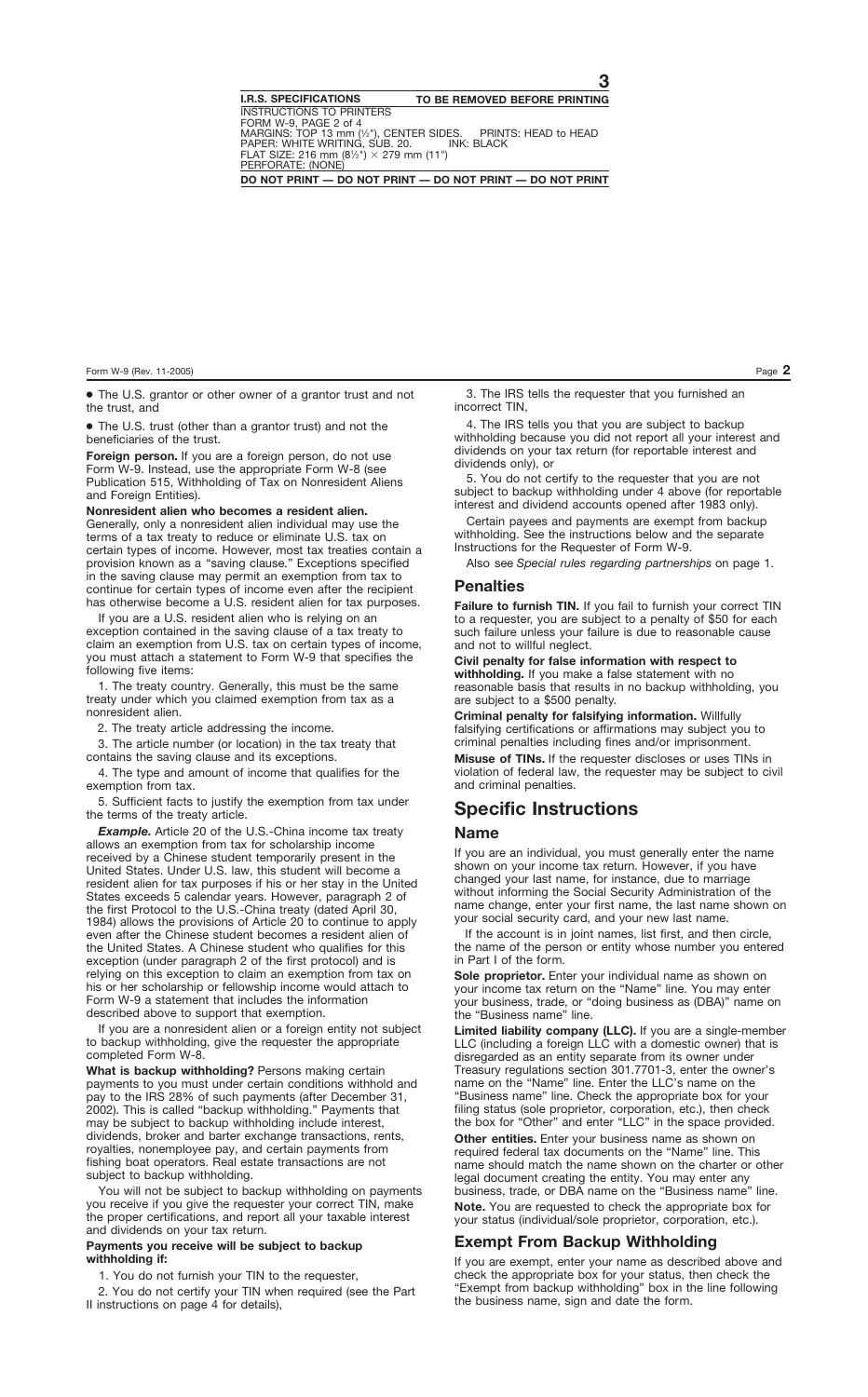● The U.S. grantor or other owner of a grantor trust and not the trust, and

● The U.S. trust (other than a grantor trust) and not the beneficiaries of the trust.

**Foreign person.** If you are a foreign person, do not use Form W-9. Instead, use the appropriate Form W-8 (see Publication 515, Withholding of Tax on Nonresident Aliens and Foreign Entities).

**Nonresident alien who becomes a resident alien.** Generally, only a nonresident alien individual may use the terms of a tax treaty to reduce or eliminate U.S. tax on certain types of income. However, most tax treaties contain a provision known as a "saving clause." Exceptions specified in the saving clause may permit an exemption from tax to continue for certain types of income even after the recipient has otherwise become a U.S. resident alien for tax purposes.

If you are a U.S. resident alien who is relying on an exception contained in the saving clause of a tax treaty to claim an exemption from U.S. tax on certain types of income, you must attach a statement to Form W-9 that specifies the following five items:

1. The treaty country. Generally, this must be the same treaty under which you claimed exemption from tax as a nonresident alien.

2. The treaty article addressing the income.

3. The article number (or location) in the tax treaty that contains the saving clause and its exceptions.

4. The type and amount of income that qualifies for the exemption from tax.

5. Sufficient facts to justify the exemption from tax under the terms of the treaty article.

**Example.** Article 20 of the U.S.-China income tax treaty allows an exemption from tax for scholarship income received by a Chinese student temporarily present in the United States. Under U.S. law, this student will become a resident alien for tax purposes if his or her stay in the United States exceeds 5 calendar years. However, paragraph 2 of the first Protocol to the U.S.-China treaty (dated April 30, 1984) allows the provisions of Article 20 to continue to apply even after the Chinese student becomes a resident alien of the United States. A Chinese student who qualifies for this exception (under paragraph 2 of the first protocol) and is relying on this exception to claim an exemption from tax on his or her scholarship or fellowship income would attach to Form W-9 a statement that includes the information described above to support that exemption.

If you are a nonresident alien or a foreign entity not subject to backup withholding, give the requester the appropriate completed Form W-8.

**What is backup withholding?** Persons making certain payments to you must under certain conditions withhold and pay to the IRS 28% of such payments (after December 31, 2002). This is called "backup withholding." Payments that may be subject to backup withholding include interest, dividends, broker and barter exchange transactions, rents, royalties, nonemployee pay, and certain payments from fishing boat operators. Real estate transactions are not subject to backup withholding.

You will not be subject to backup withholding on payments you receive if you give the requester your correct TIN, make the proper certifications, and report all your taxable interest and dividends on your tax return.

#### **Payments you receive will be subject to backup withholding if:**

1. You do not furnish your TIN to the requester,

2. You do not certify your TIN when required (see the Part II instructions on page 4 for details),

3. The IRS tells the requester that you furnished an incorrect TIN,

4. The IRS tells you that you are subject to backup withholding because you did not report all your interest and dividends on your tax return (for reportable interest and dividends only), or

5. You do not certify to the requester that you are not subject to backup withholding under 4 above (for reportable interest and dividend accounts opened after 1983 only).

Certain payees and payments are exempt from backup withholding. See the instructions below and the separate Instructions for the Requester of Form W-9.

Also see *Special rules regarding partnerships* on page 1.

### **Penalties**

**Failure to furnish TIN.** If you fail to furnish your correct TIN to a requester, you are subject to a penalty of \$50 for each such failure unless your failure is due to reasonable cause and not to willful neglect.

#### **Civil penalty for false information with respect to**

**withholding.** If you make a false statement with no reasonable basis that results in no backup withholding, you are subject to a \$500 penalty.

**Criminal penalty for falsifying information.** Willfully falsifying certifications or affirmations may subject you to criminal penalties including fines and/or imprisonment.

**Misuse of TINs.** If the requester discloses or uses TINs in violation of federal law, the requester may be subject to civil and criminal penalties.

# **Specific Instructions**

#### **Name**

If you are an individual, you must generally enter the name shown on your income tax return. However, if you have changed your last name, for instance, due to marriage without informing the Social Security Administration of the name change, enter your first name, the last name shown on your social security card, and your new last name.

If the account is in joint names, list first, and then circle, the name of the person or entity whose number you entered in Part I of the form.

**Sole proprietor.** Enter your individual name as shown on your income tax return on the "Name" line. You may enter your business, trade, or "doing business as (DBA)" name on the "Business name" line.

**Limited liability company (LLC).** If you are a single-member LLC (including a foreign LLC with a domestic owner) that is disregarded as an entity separate from its owner under Treasury regulations section 301.7701-3, enter the owner's name on the "Name" line. Enter the LLC's name on the "Business name" line. Check the appropriate box for your filing status (sole proprietor, corporation, etc.), then check the box for "Other" and enter "LLC" in the space provided.

**Other entities.** Enter your business name as shown on required federal tax documents on the "Name" line. This name should match the name shown on the charter or other legal document creating the entity. You may enter any business, trade, or DBA name on the "Business name" line. **Note.** You are requested to check the appropriate box for your status (individual/sole proprietor, corporation, etc.).

## **Exempt From Backup Withholding**

If you are exempt, enter your name as described above and check the appropriate box for your status, then check the "Exempt from backup withholding" box in the line following the business name, sign and date the form.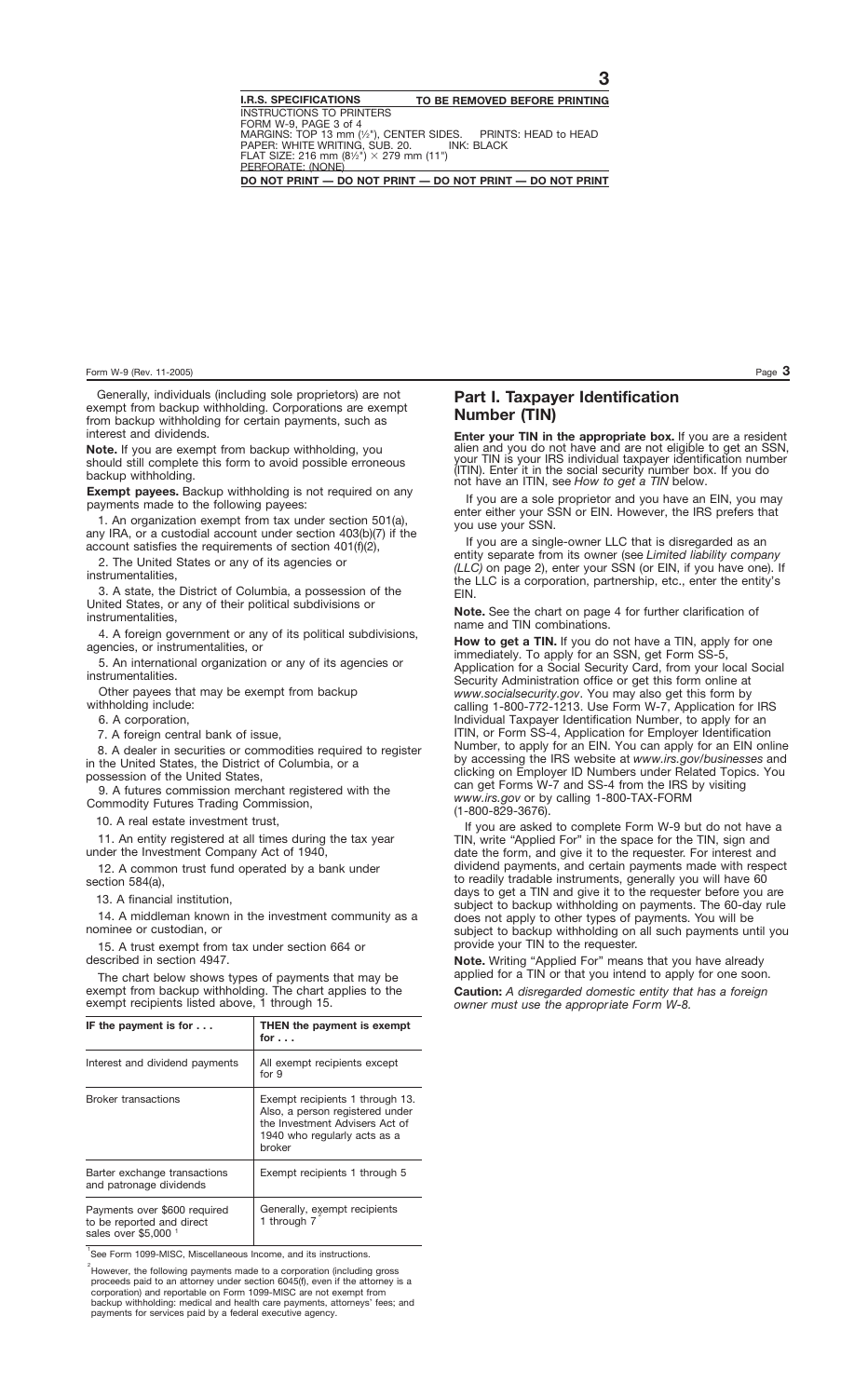Generally, individuals (including sole proprietors) are not exempt from backup withholding. Corporations are exempt from backup withholding for certain payments, such as interest and dividends.

**Note.** If you are exempt from backup withholding, you should still complete this form to avoid possible erroneous backup withholding.

**Exempt payees.** Backup withholding is not required on any payments made to the following payees:

1. An organization exempt from tax under section 501(a), any IRA, or a custodial account under section 403(b)(7) if the account satisfies the requirements of section 401(f)(2),

2. The United States or any of its agencies or instrumentalities,

3. A state, the District of Columbia, a possession of the United States, or any of their political subdivisions or instrumentalities,

4. A foreign government or any of its political subdivisions, agencies, or instrumentalities, or

5. An international organization or any of its agencies or instrumentalities.

Other payees that may be exempt from backup withholding include:

6. A corporation,

7. A foreign central bank of issue,

8. A dealer in securities or commodities required to register in the United States, the District of Columbia, or a possession of the United States,

9. A futures commission merchant registered with the Commodity Futures Trading Commission,

10. A real estate investment trust,

11. An entity registered at all times during the tax year under the Investment Company Act of 1940,

12. A common trust fund operated by a bank under section 584(a),

13. A financial institution,

14. A middleman known in the investment community as a nominee or custodian, or

15. A trust exempt from tax under section 664 or described in section 4947.

The chart below shows types of payments that may be exempt from backup withholding. The chart applies to the exempt recipients listed above, 1 through 15.

| IF the payment is for $\dots$                                                     | <b>THEN</b> the payment is exempt<br>for $\ldots$                                                                                              |
|-----------------------------------------------------------------------------------|------------------------------------------------------------------------------------------------------------------------------------------------|
| Interest and dividend payments                                                    | All exempt recipients except<br>for $9$                                                                                                        |
| <b>Broker transactions</b>                                                        | Exempt recipients 1 through 13.<br>Also, a person registered under<br>the Investment Advisers Act of<br>1940 who regularly acts as a<br>broker |
| Barter exchange transactions<br>and patronage dividends                           | Exempt recipients 1 through 5                                                                                                                  |
| Payments over \$600 required<br>to be reported and direct<br>sales over \$5,000 1 | Generally, exempt recipients<br>1 through 7                                                                                                    |

<sup>1</sup>See Form 1099-MISC, Miscellaneous Income, and its instructions.

 $\degree$ However, the following payments made to a corporation (including gross proceeds paid to an attorney under section 6045(f), even if the attorney is a corporation) and reportable on Form 1099-MISC are not exempt from backup withholding: medical and health care payments, attorneys' fees; and payments for services paid by a federal executive agency.

# **Part I. Taxpayer Identification Number (TIN)**

**Enter your TIN in the appropriate box.** If you are a resident alien and you do not have and are not eligible to get an SSN, your TIN is your IRS individual taxpayer identification number (ITIN). Enter it in the social security number box. If you do not have an ITIN, see *How to get a TIN* below.

If you are a sole proprietor and you have an EIN, you may enter either your SSN or EIN. However, the IRS prefers that you use your SSN.

If you are a single-owner LLC that is disregarded as an entity separate from its owner (see *Limited liability company (LLC)* on page 2), enter your SSN (or EIN, if you have one). If the LLC is a corporation, partnership, etc., enter the entity's EIN.

**Note.** See the chart on page 4 for further clarification of name and TIN combinations.

**How to get a TIN.** If you do not have a TIN, apply for one immediately. To apply for an SSN, get Form SS-5, Application for a Social Security Card, from your local Social Security Administration office or get this form online at *www.socialsecurity.gov*. You may also get this form by calling 1-800-772-1213. Use Form W-7, Application for IRS Individual Taxpayer Identification Number, to apply for an ITIN, or Form SS-4, Application for Employer Identification Number, to apply for an EIN. You can apply for an EIN online by accessing the IRS website at *www.irs.gov/businesses* and clicking on Employer ID Numbers under Related Topics. You can get Forms W-7 and SS-4 from the IRS by visiting *www.irs.gov* or by calling 1-800-TAX-FORM (1-800-829-3676).

If you are asked to complete Form W-9 but do not have a TIN, write "Applied For" in the space for the TIN, sign and date the form, and give it to the requester. For interest and dividend payments, and certain payments made with respect to readily tradable instruments, generally you will have 60 days to get a TIN and give it to the requester before you are subject to backup withholding on payments. The 60-day rule does not apply to other types of payments. You will be subject to backup withholding on all such payments until you provide your TIN to the requester.

**Note.** Writing "Applied For" means that you have already applied for a TIN or that you intend to apply for one soon.

**Caution:** *A disregarded domestic entity that has a foreign owner must use the appropriate Form W-8.*